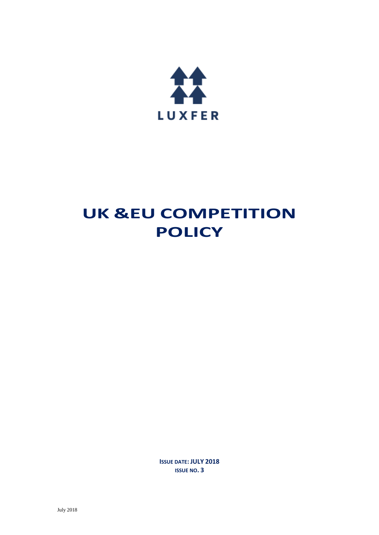

# **UK &EU COMPETITION POLICY**

**ISSUE DATE: JULY 2018 ISSUE NO. 3**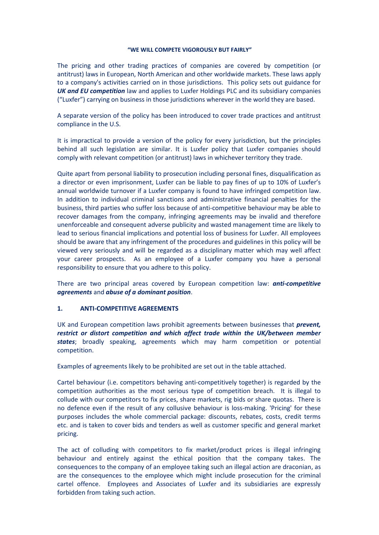#### **"WE WILL COMPETE VIGOROUSLY BUT FAIRLY"**

The pricing and other trading practices of companies are covered by competition (or antitrust) laws in European, North American and other worldwide markets. These laws apply to a company's activities carried on in those jurisdictions. This policy sets out guidance for *UK and EU competition* law and applies to Luxfer Holdings PLC and its subsidiary companies ("Luxfer") carrying on business in those jurisdictions wherever in the world they are based.

A separate version of the policy has been introduced to cover trade practices and antitrust compliance in the U.S.

It is impractical to provide a version of the policy for every jurisdiction, but the principles behind all such legislation are similar. It is Luxfer policy that Luxfer companies should comply with relevant competition (or antitrust) laws in whichever territory they trade.

Quite apart from personal liability to prosecution including personal fines, disqualification as a director or even imprisonment, Luxfer can be liable to pay fines of up to 10% of Luxfer's annual worldwide turnover if a Luxfer company is found to have infringed competition law. In addition to individual criminal sanctions and administrative financial penalties for the business, third parties who suffer loss because of anti-competitive behaviour may be able to recover damages from the company, infringing agreements may be invalid and therefore unenforceable and consequent adverse publicity and wasted management time are likely to lead to serious financial implications and potential loss of business for Luxfer. All employees should be aware that any infringement of the procedures and guidelines in this policy will be viewed very seriously and will be regarded as a disciplinary matter which may well affect your career prospects. As an employee of a Luxfer company you have a personal responsibility to ensure that you adhere to this policy.

There are two principal areas covered by European competition law: *anti-competitive agreements* and *abuse of a dominant position*.

## **1. ANTI-COMPETITIVE AGREEMENTS**

UK and European competition laws prohibit agreements between businesses that *prevent, restrict or distort competition and which affect trade within the UK/between member states*; broadly speaking, agreements which may harm competition or potential competition.

Examples of agreements likely to be prohibited are set out in the table attached.

Cartel behaviour (i.e. competitors behaving anti-competitively together) is regarded by the competition authorities as the most serious type of competition breach. It is illegal to collude with our competitors to fix prices, share markets, rig bids or share quotas. There is no defence even if the result of any collusive behaviour is loss-making. 'Pricing' for these purposes includes the whole commercial package: discounts, rebates, costs, credit terms etc. and is taken to cover bids and tenders as well as customer specific and general market pricing.

The act of colluding with competitors to fix market/product prices is illegal infringing behaviour and entirely against the ethical position that the company takes. The consequences to the company of an employee taking such an illegal action are draconian, as are the consequences to the employee which might include prosecution for the criminal cartel offence. Employees and Associates of Luxfer and its subsidiaries are expressly forbidden from taking such action.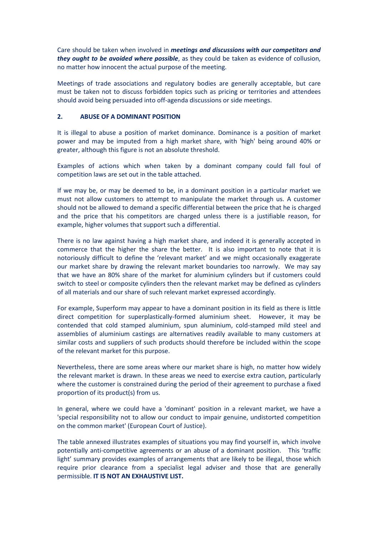Care should be taken when involved in *meetings and discussions with our competitors and they ought to be avoided where possible*, as they could be taken as evidence of collusion, no matter how innocent the actual purpose of the meeting.

Meetings of trade associations and regulatory bodies are generally acceptable, but care must be taken not to discuss forbidden topics such as pricing or territories and attendees should avoid being persuaded into off-agenda discussions or side meetings.

# **2. ABUSE OF A DOMINANT POSITION**

It is illegal to abuse a position of market dominance. Dominance is a position of market power and may be imputed from a high market share, with 'high' being around 40% or greater, although this figure is not an absolute threshold.

Examples of actions which when taken by a dominant company could fall foul of competition laws are set out in the table attached.

If we may be, or may be deemed to be, in a dominant position in a particular market we must not allow customers to attempt to manipulate the market through us. A customer should not be allowed to demand a specific differential between the price that he is charged and the price that his competitors are charged unless there is a justifiable reason, for example, higher volumes that support such a differential.

There is no law against having a high market share, and indeed it is generally accepted in commerce that the higher the share the better. It is also important to note that it is notoriously difficult to define the 'relevant market' and we might occasionally exaggerate our market share by drawing the relevant market boundaries too narrowly. We may say that we have an 80% share of the market for aluminium cylinders but if customers could switch to steel or composite cylinders then the relevant market may be defined as cylinders of all materials and our share of such relevant market expressed accordingly.

For example, Superform may appear to have a dominant position in its field as there is little direct competition for superplastically-formed aluminium sheet. However, it may be contended that cold stamped aluminium, spun aluminium, cold-stamped mild steel and assemblies of aluminium castings are alternatives readily available to many customers at similar costs and suppliers of such products should therefore be included within the scope of the relevant market for this purpose.

Nevertheless, there are some areas where our market share is high, no matter how widely the relevant market is drawn. In these areas we need to exercise extra caution, particularly where the customer is constrained during the period of their agreement to purchase a fixed proportion of its product(s) from us.

In general, where we could have a 'dominant' position in a relevant market, we have a 'special responsibility not to allow our conduct to impair genuine, undistorted competition on the common market' (European Court of Justice).

The table annexed illustrates examples of situations you may find yourself in, which involve potentially anti-competitive agreements or an abuse of a dominant position. This 'traffic light' summary provides examples of arrangements that are likely to be illegal, those which require prior clearance from a specialist legal adviser and those that are generally permissible. **IT IS NOT AN EXHAUSTIVE LIST.**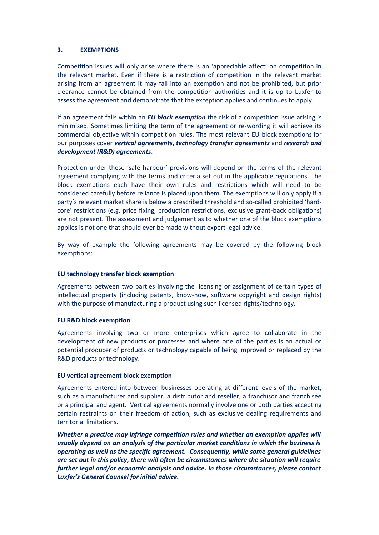## **3. EXEMPTIONS**

Competition issues will only arise where there is an 'appreciable affect' on competition in the relevant market. Even if there is a restriction of competition in the relevant market arising from an agreement it may fall into an exemption and not be prohibited, but prior clearance cannot be obtained from the competition authorities and it is up to Luxfer to assess the agreement and demonstrate that the exception applies and continues to apply.

If an agreement falls within an *EU block exemption* the risk of a competition issue arising is minimised. Sometimes limiting the term of the agreement or re-wording it will achieve its commercial objective within competition rules. The most relevant EU block exemptions for our purposes cover *vertical agreements*, *technology transfer agreements* and *research and development (R&D) agreements*.

Protection under these 'safe harbour' provisions will depend on the terms of the relevant agreement complying with the terms and criteria set out in the applicable regulations. The block exemptions each have their own rules and restrictions which will need to be considered carefully before reliance is placed upon them. The exemptions will only apply if a party's relevant market share is below a prescribed threshold and so-called prohibited 'hardcore' restrictions (e.g. price fixing, production restrictions, exclusive grant-back obligations) are not present. The assessment and judgement as to whether one of the block exemptions applies is not one that should ever be made without expert legal advice.

By way of example the following agreements may be covered by the following block exemptions:

## **EU technology transfer block exemption**

Agreements between two parties involving the licensing or assignment of certain types of intellectual property (including patents, know-how, software copyright and design rights) with the purpose of manufacturing a product using such licensed rights/technology.

## **EU R&D block exemption**

Agreements involving two or more enterprises which agree to collaborate in the development of new products or processes and where one of the parties is an actual or potential producer of products or technology capable of being improved or replaced by the R&D products or technology.

## **EU vertical agreement block exemption**

Agreements entered into between businesses operating at different levels of the market, such as a manufacturer and supplier, a distributor and reseller, a franchisor and franchisee or a principal and agent. Vertical agreements normally involve one or both parties accepting certain restraints on their freedom of action, such as exclusive dealing requirements and territorial limitations.

*Whether a practice may infringe competition rules and whether an exemption applies will usually depend on an analysis of the particular market conditions in which the business is operating as well as the specific agreement. Consequently, while some general guidelines are set out in this policy, there will often be circumstances where the situation will require further legal and/or economic analysis and advice. In those circumstances, please contact Luxfer's General Counsel for initial advice.*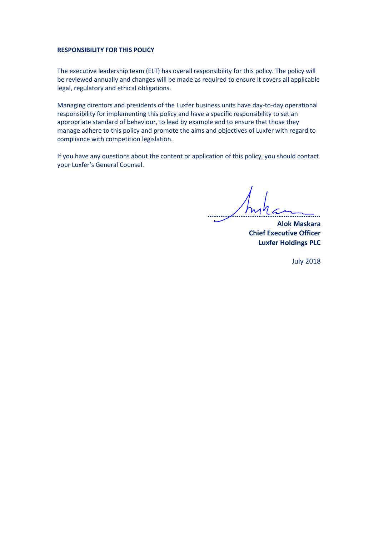#### **RESPONSIBILITY FOR THIS POLICY**

The executive leadership team (ELT) has overall responsibility for this policy. The policy will be reviewed annually and changes will be made as required to ensure it covers all applicable legal, regulatory and ethical obligations.

Managing directors and presidents of the Luxfer business units have day-to-day operational responsibility for implementing this policy and have a specific responsibility to set an appropriate standard of behaviour, to lead by example and to ensure that those they manage adhere to this policy and promote the aims and objectives of Luxfer with regard to compliance with competition legislation.

If you have any questions about the content or application of this policy, you should contact your Luxfer's General Counsel.

*……………………………………………………..*

**Alok Maskara Chief Executive Officer Luxfer Holdings PLC**

July 2018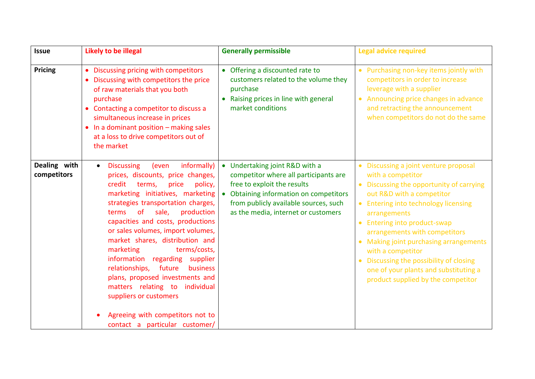| <b>Issue</b>                | Likely to be illegal                                                                                                                                                                                                                                                                                                                                                                                                                                                                                                                                                                                                                                | <b>Generally permissible</b>                                                                                                                                                                                                              | <b>Legal advice required</b>                                                                                                                                                                                                                                                                                                                                                                                                                                                                   |
|-----------------------------|-----------------------------------------------------------------------------------------------------------------------------------------------------------------------------------------------------------------------------------------------------------------------------------------------------------------------------------------------------------------------------------------------------------------------------------------------------------------------------------------------------------------------------------------------------------------------------------------------------------------------------------------------------|-------------------------------------------------------------------------------------------------------------------------------------------------------------------------------------------------------------------------------------------|------------------------------------------------------------------------------------------------------------------------------------------------------------------------------------------------------------------------------------------------------------------------------------------------------------------------------------------------------------------------------------------------------------------------------------------------------------------------------------------------|
| <b>Pricing</b>              | Discussing pricing with competitors<br>Discussing with competitors the price<br>of raw materials that you both<br>purchase<br>Contacting a competitor to discuss a<br>$\bullet$<br>simultaneous increase in prices<br>In a dominant position - making sales<br>$\bullet$<br>at a loss to drive competitors out of<br>the market                                                                                                                                                                                                                                                                                                                     | Offering a discounted rate to<br>customers related to the volume they<br>purchase<br>Raising prices in line with general<br>market conditions                                                                                             | Purchasing non-key items jointly with<br>competitors in order to increase<br>leverage with a supplier<br>Announcing price changes in advance<br>and retracting the announcement<br>when competitors do not do the same                                                                                                                                                                                                                                                                         |
| Dealing with<br>competitors | informally)<br><b>Discussing</b><br>(even<br>$\bullet$<br>prices, discounts, price changes,<br>credit<br>policy,<br>terms,<br>price<br>marketing initiatives, marketing<br>strategies transportation charges,<br>terms<br><b>of</b><br>sale,<br>production<br>capacities and costs, productions<br>or sales volumes, import volumes,<br>market shares, distribution and<br>terms/costs,<br>marketing<br>information regarding<br>supplier<br>relationships, future<br>business<br>plans, proposed investments and<br>matters relating to individual<br>suppliers or customers<br>Agreeing with competitors not to<br>contact a particular customer/ | Undertaking joint R&D with a<br>$\bullet$<br>competitor where all participants are<br>free to exploit the results<br>Obtaining information on competitors<br>from publicly available sources, such<br>as the media, internet or customers | Discussing a joint venture proposal<br>with a competitor<br>Discussing the opportunity of carrying<br>out R&D with a competitor<br><b>Entering into technology licensing</b><br>arrangements<br><b>Entering into product-swap</b><br>$\bullet$<br>arrangements with competitors<br>Making joint purchasing arrangements<br>$\bullet$<br>with a competitor<br>Discussing the possibility of closing<br>$\bullet$<br>one of your plants and substituting a<br>product supplied by the competitor |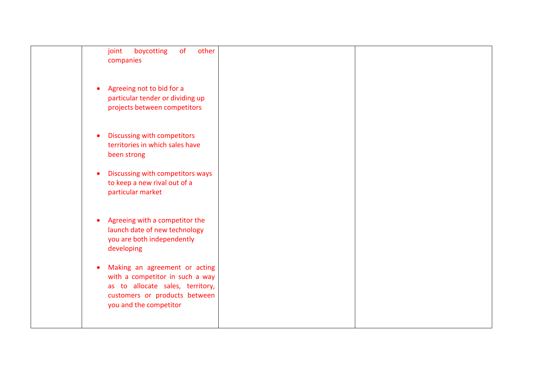| of<br>other<br>joint<br>boycotting<br>companies                                                                                                                 |  |
|-----------------------------------------------------------------------------------------------------------------------------------------------------------------|--|
| Agreeing not to bid for a<br>$\bullet$<br>particular tender or dividing up<br>projects between competitors                                                      |  |
| Discussing with competitors<br>$\bullet$<br>territories in which sales have<br>been strong                                                                      |  |
| Discussing with competitors ways<br>$\bullet$<br>to keep a new rival out of a<br>particular market                                                              |  |
| Agreeing with a competitor the<br>$\bullet$<br>launch date of new technology<br>you are both independently<br>developing                                        |  |
| Making an agreement or acting<br>with a competitor in such a way<br>as to allocate sales, territory,<br>customers or products between<br>you and the competitor |  |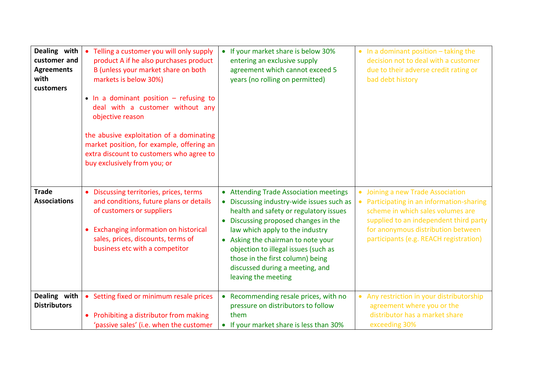| Dealing with<br>customer and<br><b>Agreements</b><br>with<br>customers | Telling a customer you will only supply<br>$\bullet$<br>product A if he also purchases product<br>B (unless your market share on both<br>markets is below 30%)<br>$\bullet$ In a dominant position – refusing to<br>deal with a customer without any<br>objective reason<br>the abusive exploitation of a dominating<br>market position, for example, offering an<br>extra discount to customers who agree to<br>buy exclusively from you; or | • If your market share is below 30%<br>entering an exclusive supply<br>agreement which cannot exceed 5<br>years (no rolling on permitted)                                                                                                                                                                                                                                                                                               | $\bullet$ In a dominant position $-$ taking the<br>decision not to deal with a customer<br>due to their adverse credit rating or<br>bad debt history                                                                                                   |
|------------------------------------------------------------------------|-----------------------------------------------------------------------------------------------------------------------------------------------------------------------------------------------------------------------------------------------------------------------------------------------------------------------------------------------------------------------------------------------------------------------------------------------|-----------------------------------------------------------------------------------------------------------------------------------------------------------------------------------------------------------------------------------------------------------------------------------------------------------------------------------------------------------------------------------------------------------------------------------------|--------------------------------------------------------------------------------------------------------------------------------------------------------------------------------------------------------------------------------------------------------|
| <b>Trade</b><br><b>Associations</b>                                    | • Discussing territories, prices, terms<br>and conditions, future plans or details<br>of customers or suppliers<br>Exchanging information on historical<br>$\bullet$<br>sales, prices, discounts, terms of<br>business etc with a competitor                                                                                                                                                                                                  | <b>Attending Trade Association meetings</b><br>$\bullet$<br>Discussing industry-wide issues such as<br>$\bullet$<br>health and safety or regulatory issues<br>Discussing proposed changes in the<br>$\bullet$<br>law which apply to the industry<br>Asking the chairman to note your<br>$\bullet$<br>objection to illegal issues (such as<br>those in the first column) being<br>discussed during a meeting, and<br>leaving the meeting | Joining a new Trade Association<br>$\bullet$<br>Participating in an information-sharing<br>scheme in which sales volumes are<br>supplied to an independent third party<br>for anonymous distribution between<br>participants (e.g. REACH registration) |
| Dealing with<br><b>Distributors</b>                                    | • Setting fixed or minimum resale prices<br>Prohibiting a distributor from making<br>$\bullet$<br>'passive sales' (i.e. when the customer                                                                                                                                                                                                                                                                                                     | • Recommending resale prices, with no<br>pressure on distributors to follow<br>them<br>• If your market share is less than 30%                                                                                                                                                                                                                                                                                                          | Any restriction in your distributorship<br>agreement where you or the<br>distributor has a market share<br>exceeding 30%                                                                                                                               |